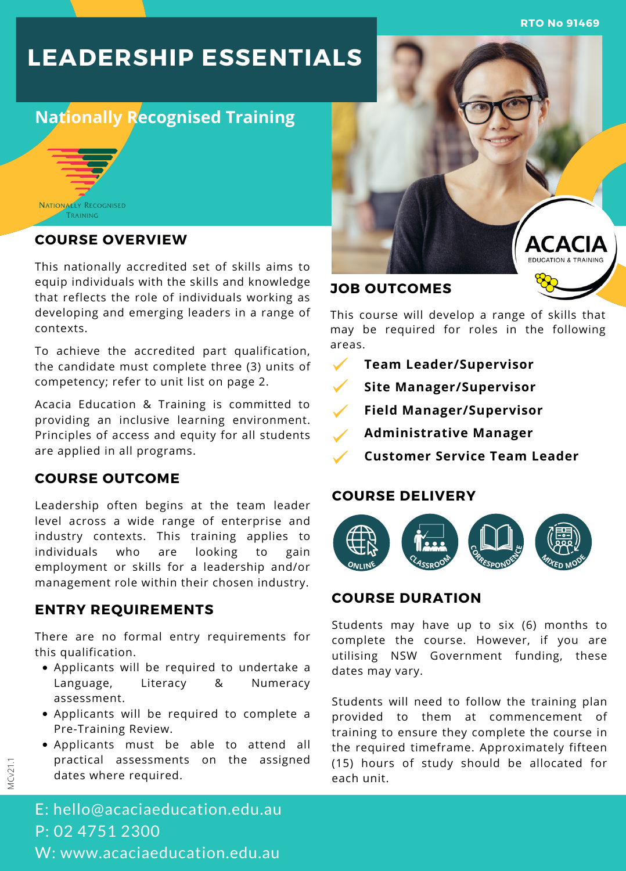**RTO No 91469**

# **LEADERSHIP ESSENTIALS**

## **Nationally Recognised Training**



#### **COURSE OVERVIEW**

This nationally accredited set of skills aims to equip individuals with the skills and knowledge that reflects the role of individuals working as developing and emerging leaders in a range of contexts.

To achieve the accredited part qualification, the candidate must complete three (3) units of competency; refer to unit list on page 2.

Acacia Education & Training is committed to providing an inclusive learning environment. Principles of access and equity for all students are applied in all programs.

## **COURSE OUTCOME**

Leadership often begins at the team leader level across a wide range of enterprise and industry contexts. This training applies to individuals who are looking to gain employment or skills for a leadership and/or management role within their chosen industry.

#### **ENTRY REQUIREMENTS**

There are no formal entry requirements for this qualification.

- Applicants will be required to undertake a Language, Literacy & Numeracy assessment.
- Applicants will be required to complete a Pre-Training Review.
- Applicants must be able to attend all practical assessments on the assigned dates where required.



#### **JOB OUTCOMES**

This course will develop a range of skills that may be required for roles in the following areas.

- $\checkmark$ **Team Leader/Supervisor**
- **Site Manager/Supervisor**
- **Field Manager/Supervisor**
- **Administrative Manager**
- **Customer Service Team Leader**

#### **COURSE DELIVERY**



## **COURSE DURATION**

Students may have up to six (6) months to complete the course. However, if you are utilising NSW Government funding, these dates may vary.

Students will need to follow the training plan provided to them at commencement of training to ensure they complete the course in the required timeframe. Approximately fifteen (15) hours of study should be allocated for each unit.

E: hello@acaciaeducation.edu.au P: 02 4751 2300 W: www.acaciaeducation.edu.au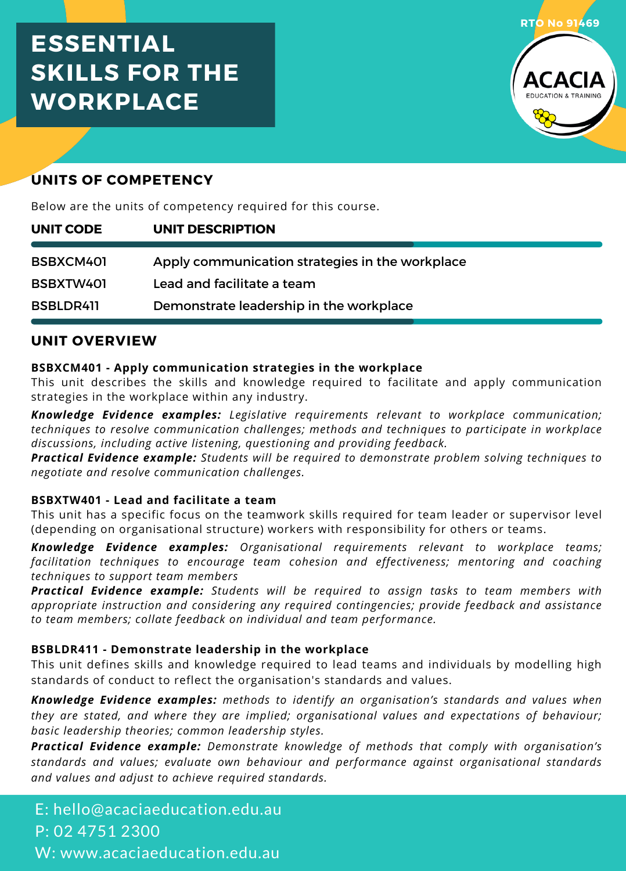## **ESSENTIAL SKILLS FOR THE WORKPLACE**



## **UNITS OF COMPETENCY**

Below are the units of competency required for this course.

| UNIT CODE | <b>UNIT DESCRIPTION</b>                         |
|-----------|-------------------------------------------------|
| BSBXCM401 | Apply communication strategies in the workplace |
| BSBXTW401 | Lead and facilitate a team                      |
| BSBLDR411 | Demonstrate leadership in the workplace         |

## **UNIT OVERVIEW**

#### **BSBXCM401 - Apply communication strategies in the workplace**

This unit describes the skills and knowledge required to facilitate and apply communication strategies in the workplace within any industry.

*Knowledge Evidence examples: Legislative requirements relevant to workplace communication; techniques to resolve communication challenges; methods and techniques to participate in workplace discussions, including active listening, questioning and providing feedback.*

*Practical Evidence example: Students will be required to demonstrate problem solving techniques to negotiate and resolve communication challenges.*

#### **BSBXTW401 - Lead and facilitate a team**

This unit has a specific focus on the teamwork skills required for team leader or supervisor level (depending on organisational structure) workers with responsibility for others or teams.

*Knowledge Evidence examples: Organisational requirements relevant to workplace teams; facilitation techniques to encourage team cohesion and effectiveness; mentoring and coaching techniques to support team members*

*Practical Evidence example: Students will be required to assign tasks to team members with appropriate instruction and considering any required contingencies; provide feedback and assistance to team members; collate feedback on individual and team performance.*

#### **BSBLDR411 - Demonstrate leadership in the workplace**

This unit defines skills and knowledge required to lead teams and individuals by modelling high standards of conduct to reflect the organisation's standards and values.

*Knowledge Evidence examples: methods to identify an organisation's standards and values when they are stated, and where they are implied; organisational values and expectations of behaviour; basic leadership theories; common leadership styles.*

*Practical Evidence example: Demonstrate knowledge of methods that comply with organisation's standards and values; evaluate own behaviour and performance against organisational standards and values and adjust to achieve required standards.*

E: hello@acaciaeducation.edu.au P: 02 4751 2300 W: www.acaciaeducation.edu.au